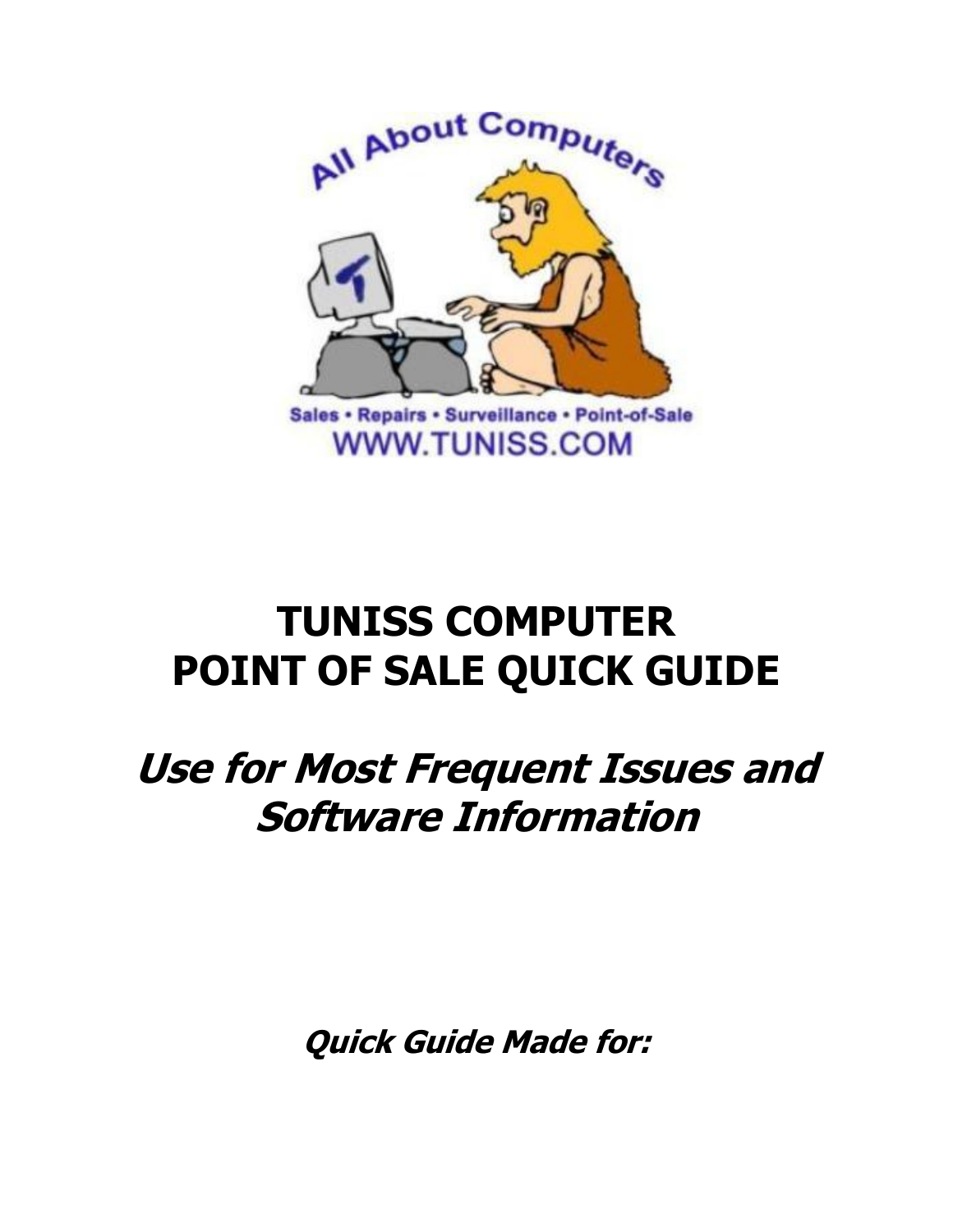

# **TUNISS COMPUTER POINT OF SALE QUICK GUIDE**

# **Use for Most Frequent Issues and Software Information**

**Quick Guide Made for:**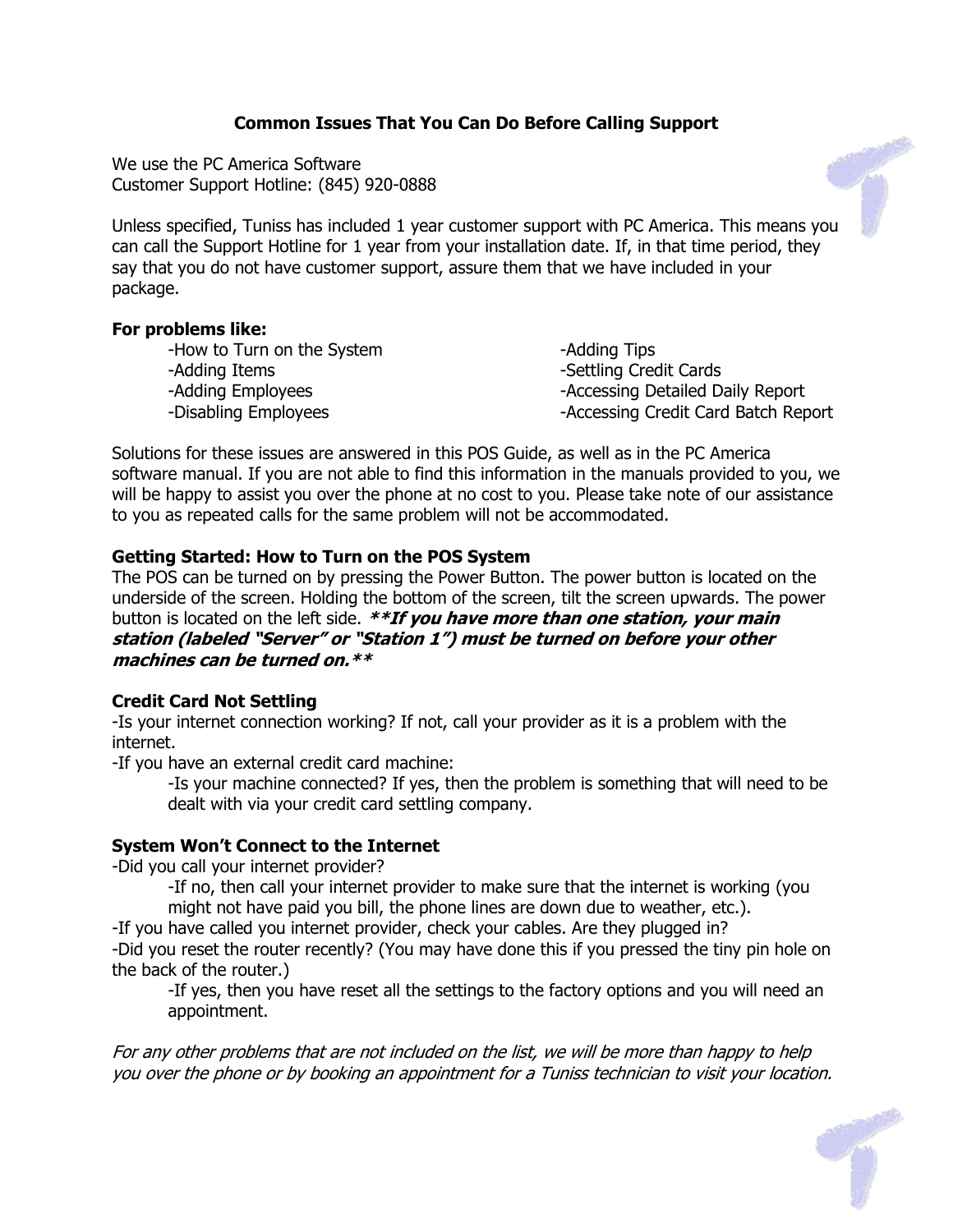## **Common Issues That You Can Do Before Calling Support**

We use the PC America Software Customer Support Hotline: (845) 920-0888

Unless specified, Tuniss has included 1 year customer support with PC America. This means you can call the Support Hotline for 1 year from your installation date. If, in that time period, they say that you do not have customer support, assure them that we have included in your package.

### **For problems like:**

| -How to Turn on the System | -Adding Tips                        |
|----------------------------|-------------------------------------|
| -Adding Items              | -Settling Credit Cards              |
| -Adding Employees          | -Accessing Detailed Daily Report    |
| -Disabling Employees       | -Accessing Credit Card Batch Report |
|                            |                                     |

Solutions for these issues are answered in this POS Guide, as well as in the PC America software manual. If you are not able to find this information in the manuals provided to you, we will be happy to assist you over the phone at no cost to you. Please take note of our assistance to you as repeated calls for the same problem will not be accommodated.

## **Getting Started: How to Turn on the POS System**

The POS can be turned on by pressing the Power Button. The power button is located on the underside of the screen. Holding the bottom of the screen, tilt the screen upwards. The power button is located on the left side. **\*\*If you have more than one station, your main station (labeled "Server" or "Station 1") must be turned on before your other machines can be turned on.\*\***

## **Credit Card Not Settling**

-Is your internet connection working? If not, call your provider as it is a problem with the internet.

-If you have an external credit card machine:

-Is your machine connected? If yes, then the problem is something that will need to be dealt with via your credit card settling company.

## **System Won't Connect to the Internet**

-Did you call your internet provider?

-If no, then call your internet provider to make sure that the internet is working (you might not have paid you bill, the phone lines are down due to weather, etc.).

-If you have called you internet provider, check your cables. Are they plugged in?

-Did you reset the router recently? (You may have done this if you pressed the tiny pin hole on the back of the router.)

-If yes, then you have reset all the settings to the factory options and you will need an appointment.

For any other problems that are not included on the list, we will be more than happy to help you over the phone or by booking an appointment for <sup>a</sup> Tuniss technician to visit your location.

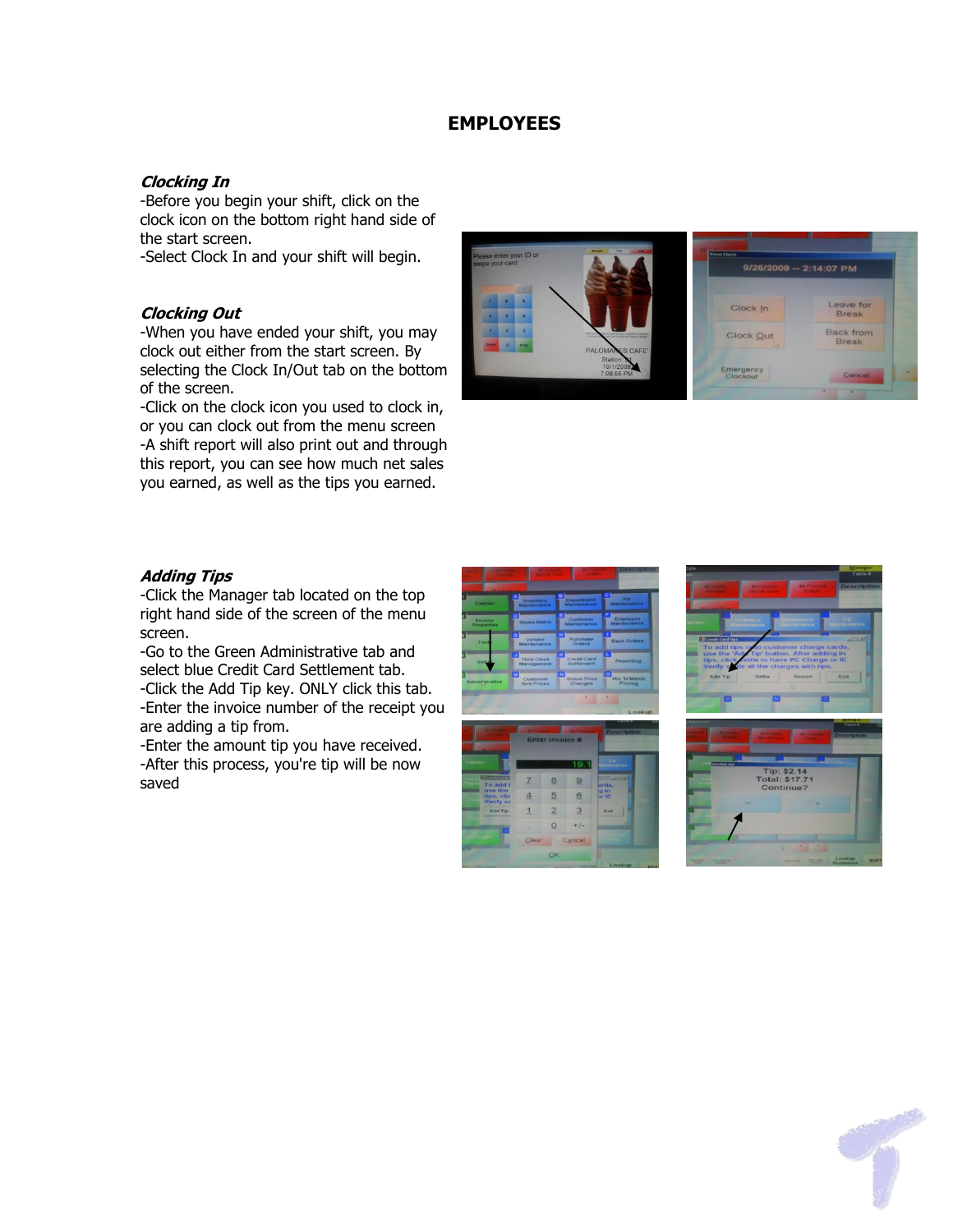## **EMPLOYEES**

### **Clocking In**

-Before you begin your shift, click on the clock icon on the bottom right hand side of the start screen.

-Select Clock In and your shift will begin.

#### **Clocking Out**

-When you have ended your shift, you may clock out either from the start screen. By selecting the Clock In/Out tab on the bottom of the screen.

-Click on the clock icon you used to clock in, or you can clock out from the menu screen -A shift report will also print out and through this report, you can see how much net sales you earned, as well as the tips you earned.



#### **Adding Tips**

-Click the Manager tab located on the top right hand side of the screen of the menu screen.

-Go to the Green Administrative tab and select blue Credit Card Settlement tab. -Click the Add Tip key. ONLY click this tab. -Enter the invoice number of the receipt you are adding a tip from.

-Enter the amount tip you have received. -After this process, you're tip will be now saved







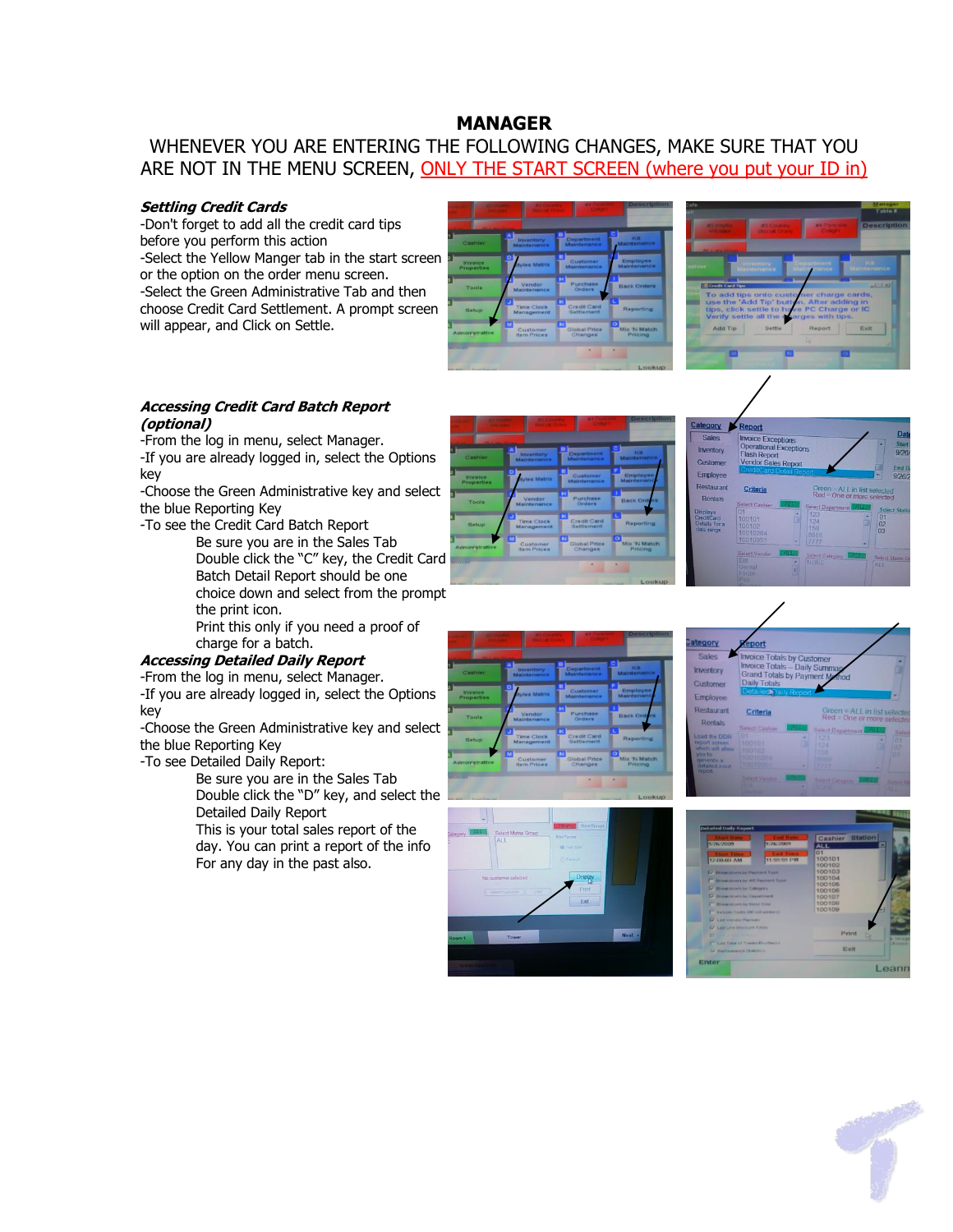## **MANAGER**

WHENEVER YOU ARE ENTERING THE FOLLOWING CHANGES, MAKE SURE THAT YOU ARE NOT IN THE MENU SCREEN, ONLY THE START SCREEN (where you put your ID in)

#### **Settling Credit Cards**

-Don't forget to add all the credit card tips before you perform this action -Select the Yellow Manger tab in the start screen or the option on the order menu screen. -Select the Green Administrative Tab and then choose Credit Card Settlement. A prompt screen will appear, and Click on Settle.





#### **Accessing Credit Card Batch Report (optional)**

-From the log in menu, select Manager.

-If you are already logged in, select the Options key

-Choose the Green Administrative key and select the blue Reporting Key

-To see the Credit Card Batch Report

Be sure you are in the Sales Tab Double click the "C" key, the Credit Card Batch Detail Report should be one choice down and select from the prompt the print icon.

Print this only if you need a proof of charge for a batch.

### **Accessing Detailed Daily Report**

-From the log in menu, select Manager. -If you are already logged in, select the Options key

-Choose the Green Administrative key and select the blue Reporting Key

-To see Detailed Daily Report:

Be sure you are in the Sales Tab Double click the "D" key, and select the Detailed Daily Report

This is your total sales report of the day. You can print a report of the info For any day in the past also.











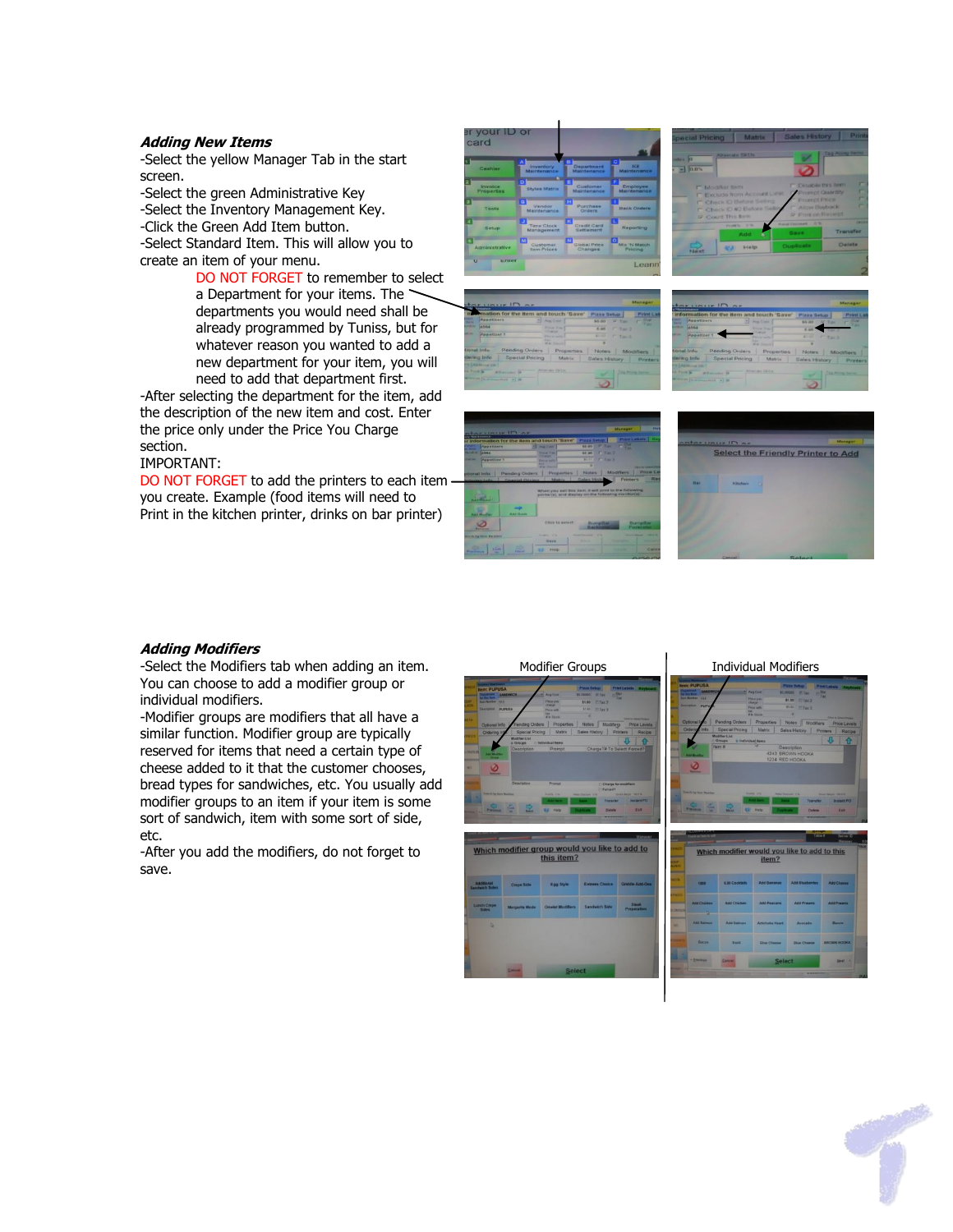#### **Adding New Items**

-Select the yellow Manager Tab in the start screen.

-Select the green Administrative Key -Select the Inventory Management Key. -Click the Green Add Item button. -Select Standard Item. This will allow you to create an item of your menu.

DO NOT FORGET to remember to select a Department for your items. The departments you would need shall be already programmed by Tuniss, but for whatever reason you wanted to add a new department for your item, you will need to add that department first.

-After selecting the department for the item, add the description of the new item and cost. Enter the price only under the Price You Charge section.

#### IMPORTANT:

DO NOT FORGET to add the printers to each item you create. Example (food items will need to Print in the kitchen printer, drinks on bar printer)













#### **Adding Modifiers**

-Select the Modifiers tab when adding an item. You can choose to add a modifier group or individual modifiers.

-Modifier groups are modifiers that all have a similar function. Modifier group are typically reserved for items that need a certain type of cheese added to it that the customer chooses, bread types for sandwiches, etc. You usually add modifier groups to an item if your item is some sort of sandwich, item with some sort of side, etc.

-After you add the modifiers, do not forget to save.

| <b>Modifier Groups</b>                                                                                                                        |                                                                                                                                 |                                                                                                                                                                                          |                                                                                                                                                                                                                                                                                |                                                                                                                                          |                                           |
|-----------------------------------------------------------------------------------------------------------------------------------------------|---------------------------------------------------------------------------------------------------------------------------------|------------------------------------------------------------------------------------------------------------------------------------------------------------------------------------------|--------------------------------------------------------------------------------------------------------------------------------------------------------------------------------------------------------------------------------------------------------------------------------|------------------------------------------------------------------------------------------------------------------------------------------|-------------------------------------------|
| <b>Bem: PUPUSA</b><br>n<br><b>San Norther</b><br>111<br><b>Teampton</b><br>w<br>Optional Info<br>Ordering Inf<br>N.<br><b>Search by New N</b> | SANDWICH<br><b>PUPUSA</b><br>Pending Orders<br><b>Special Pricing</b><br><b>Modifier List</b><br><b>A</b> Groups<br>Description | <b>Avg Core</b><br><b>Parra you</b><br>change<br>Price with<br>œ<br><b>A by Silverk</b><br>Properties<br><b>Matrix</b><br><b>C Individual Nems</b><br>Prompt<br>Promot<br><b>ALCOHOL</b> | <b>Pizza Setup</b><br>$-104$<br>10.00000<br><b>WTax</b><br><b>Citer2</b><br>\$1.50<br>\$1.80<br><b>UTax 3</b><br>٠<br>Notes Modifiers<br><b>Sales History</b><br>Charge <sup>Ta</sup> To Select Forced?<br>Charge for modifiers<br><b>TURNET</b><br>Transiter<br><b>Delete</b> | <b>Print Labels</b> Keyboard<br><b>Price Levels</b><br><b>Printers</b><br>Recipe<br><b>STATISTICS</b><br><b>Instant PO</b><br><b>KWA</b> | <b>Item: PUPL</b><br>Optional Is<br>Order |
|                                                                                                                                               |                                                                                                                                 | .,<br><b>Piano</b><br>Which modifier group would you like to add to<br>this item?                                                                                                        |                                                                                                                                                                                                                                                                                |                                                                                                                                          | W                                         |
| Additional<br><b>Landwich Sides</b>                                                                                                           | Crepe Side                                                                                                                      | Egg Style                                                                                                                                                                                | <b>Entrees Choice</b>                                                                                                                                                                                                                                                          | <b>Griddle Add Ons</b>                                                                                                                   |                                           |
| <b>Lunch Crepe</b><br>Sides                                                                                                                   | <b>Margarita Mode</b>                                                                                                           | <b>Omelet Modifiers</b>                                                                                                                                                                  | <b>Sandwich Side</b>                                                                                                                                                                                                                                                           | <b>Steak</b><br><b>Preparation</b>                                                                                                       | Add C                                     |
| ъ                                                                                                                                             | <b>Cancel</b>                                                                                                                   | <b>Select</b>                                                                                                                                                                            |                                                                                                                                                                                                                                                                                |                                                                                                                                          | <b>MAY</b><br>848                         |

#### **Individual Modifiers**

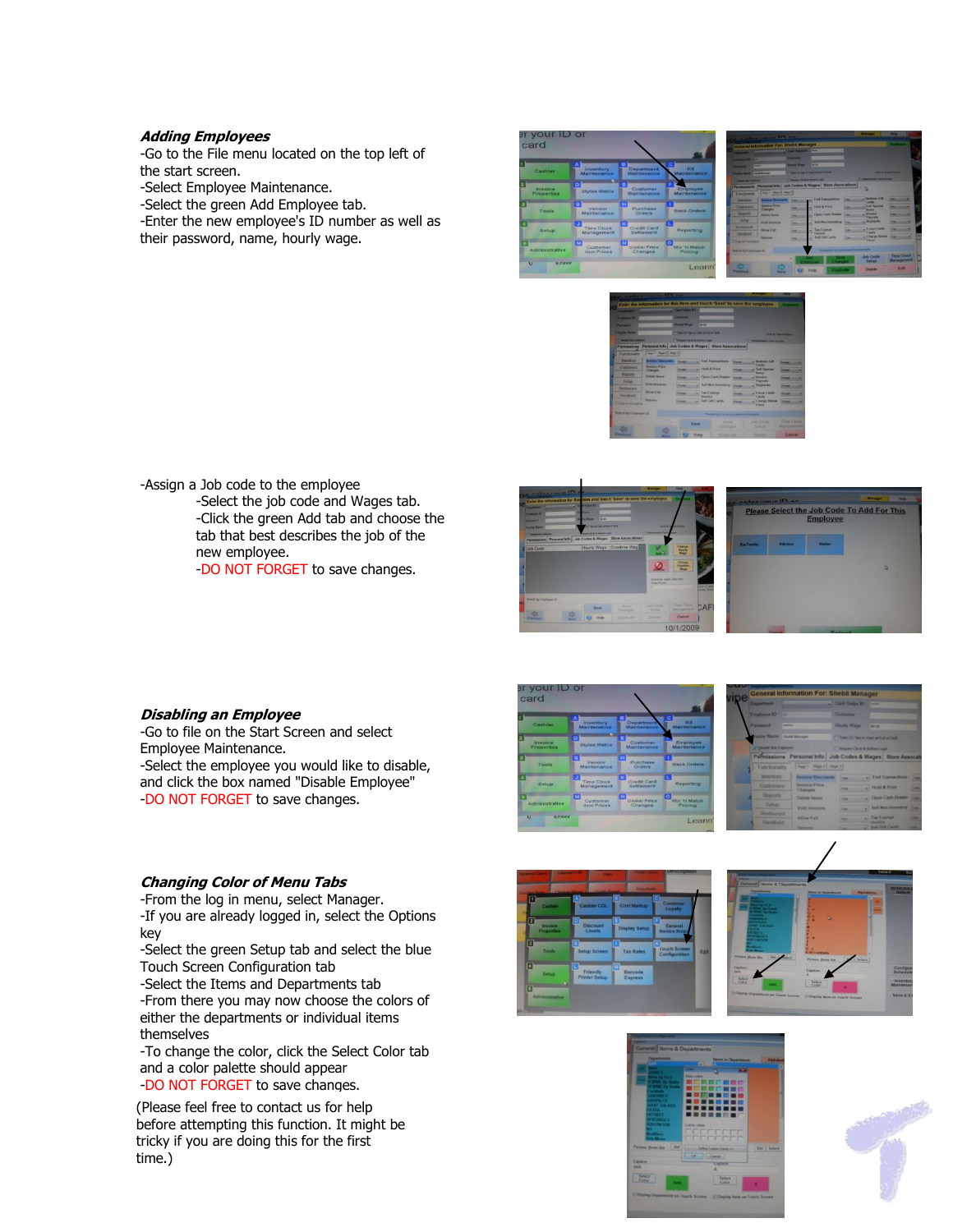#### **Adding Employees**

-Go to the File menu located on the top left of the start screen. -Select Employee Maintenance. -Select the green Add Employee tab.

-Enter the new employee's ID number as well as their password, name, hourly wage.



|                                                                                                                       | General Information For: Shebit Manager                                                                                                                                                                                                          | Card Sways 41                                  | –                                    |                                                |                                   |                                 |
|-----------------------------------------------------------------------------------------------------------------------|--------------------------------------------------------------------------------------------------------------------------------------------------------------------------------------------------------------------------------------------------|------------------------------------------------|--------------------------------------|------------------------------------------------|-----------------------------------|---------------------------------|
| <b>The College of the College of the College of the College of the College of the College of the College of the C</b> |                                                                                                                                                                                                                                                  |                                                |                                      |                                                |                                   |                                 |
| <b>Engineering Rd</b>                                                                                                 |                                                                                                                                                                                                                                                  | <b>General</b>                                 |                                      |                                                |                                   |                                 |
| ومسحو                                                                                                                 |                                                                                                                                                                                                                                                  | <b>Hardy Wage</b>                              | <b>AT IT</b>                         |                                                |                                   |                                 |
| <b>Country States' Count Harner</b>                                                                                   |                                                                                                                                                                                                                                                  | <b>Chairman Printers Contract Control Town</b> |                                      |                                                | <b>CAR &amp; Dealer Printer</b>   |                                 |
| <b>Column Av Court of</b>                                                                                             |                                                                                                                                                                                                                                                  | Changes Child in Subset Lags                   |                                      |                                                | <b>Changes and Carl Armed</b>     |                                 |
| Permissions                                                                                                           | Parsonal Info                                                                                                                                                                                                                                    |                                                |                                      | <b>Job Codes &amp; Wages Store Assocations</b> | ń                                 |                                 |
| European                                                                                                              | Page 1 Page 2   Page 1                                                                                                                                                                                                                           |                                                |                                      |                                                |                                   |                                 |
| <b>Installation</b>                                                                                                   | <b><i><u>Charles Charles Commercial Charles Charles Charles Charles Charles Charles Charles Charles Charles Charles Charles Charles Charles Charles Charles Charles Charles Charles Charles Charles Charles Charles Charles Charles </u></i></b> | <b>COL</b>                                     |                                      | al End Tremactures                             | <b>Electronic Calls</b><br>Candle |                                 |
| <b>Containers</b>                                                                                                     | <b>Service Print</b><br><b>Changes</b>                                                                                                                                                                                                           | ⊶                                              | -Thursday Print                      |                                                | <b>Sell Special</b><br>-          |                                 |
| <b>Gegants</b>                                                                                                        | <b>Calledge Phonests</b>                                                                                                                                                                                                                         | m                                              |                                      | a. Class Cash Drewer                           | <b>Talendor</b><br><b>Payment</b> |                                 |
| <b>Senat</b>                                                                                                          | <b>Wood Seattleton</b>                                                                                                                                                                                                                           | m                                              |                                      | - Sell Non-January                             | - Paulucks.                       |                                 |
| <b>Heritagenet</b>                                                                                                    | Alline Type                                                                                                                                                                                                                                      |                                                | all Tax Exempt<br><b>Several Ave</b> |                                                | <b>Charge Could</b><br>Castle     |                                 |
| <b>Flanchend</b><br><b>This of Experience</b>                                                                         | <b>School</b>                                                                                                                                                                                                                                    | <b>TELEVIS</b>                                 | u                                    | <b>Salt Gift Cards</b>                         | Charge Deliver<br><b>Elizabet</b> | -                               |
| <b>Bearch by University (C)</b>                                                                                       |                                                                                                                                                                                                                                                  |                                                |                                      |                                                | or discussion.                    |                                 |
|                                                                                                                       |                                                                                                                                                                                                                                                  | ٠                                              |                                      | <b>Changes</b>                                 | <b>Job Code</b><br>Setup          | <b>Time Clock</b><br>Management |



-Assign a Job code to the employee -Select the job code and Wages tab. -Click the green Add tab and choose the tab that best describes the job of the new employee. -DO NOT FORGET to save changes.





#### **Disabling an Employee**

-Go to file on the Start Screen and select Employee Maintenance. -Select the employee you would like to disable, and click the box named "Disable Employee" -DO NOT FORGET to save changes.

#### **Changing Color of Menu Tabs**

-From the log in menu, select Manager. -If you are already logged in, select the Options key

-Select the green Setup tab and select the blue Touch Screen Configuration tab

-Select the Items and Departments tab -From there you may now choose the colors of either the departments or individual items themselves

-To change the color, click the Select Color tab and a color palette should appear -DO NOT FORGET to save changes.

(Please feel free to contact us for help before attempting this function. It might be tricky if you are doing this for the first time.)